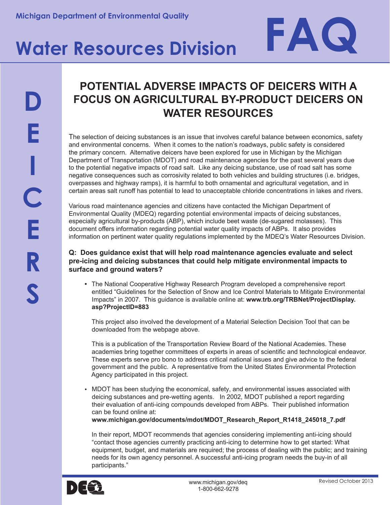# Michigan Department of Environmental Quality<br> **Water Resources Division**

## **D E I C E R S**

### **POTENTIAL ADVERSE IMPACTS OF DEICERS WITH A FOCUS ON AGRICULTURAL BY-PRODUCT DEICERS ON WATER RESOURCES**

The selection of deicing substances is an issue that involves careful balance between economics, safety and environmental concerns. When it comes to the nation's roadways, public safety is considered the primary concern. Alternative deicers have been explored for use in Michigan by the Michigan Department of Transportation (MDOT) and road maintenance agencies for the past several years due to the potential negative impacts of road salt. Like any deicing substance, use of road salt has some negative consequences such as corrosivity related to both vehicles and building structures (i.e. bridges, overpasses and highway ramps), it is harmful to both ornamental and agricultural vegetation, and in certain areas salt runoff has potential to lead to unacceptable chloride concentrations in lakes and rivers.

Various road maintenance agencies and citizens have contacted the Michigan Department of Environmental Quality (MDEQ) regarding potential environmental impacts of deicing substances, especially agricultural by-products (ABP), which include beet waste (de-sugared molasses). This document offers information regarding potential water quality impacts of ABPs. It also provides information on pertinent water quality regulations implemented by the MDEQ's Water Resources Division.

#### **Q: Does guidance exist that will help road maintenance agencies evaluate and select pre-icing and deicing substances that could help mitigate environmental impacts to surface and ground waters?**

**•** The National Cooperative Highway Research Program developed a comprehensive report entitled "Guidelines for the Selection of Snow and Ice Control Materials to Mitigate Environmental Impacts" in 2007. This guidance is available online at: **www.trb.org/TRBNet/ProjectDisplay. asp?ProjectID=883**

This project also involved the development of a Material Selection Decision Tool that can be downloaded from the webpage above.

This is a publication of the Transportation Review Board of the National Academies. These academies bring together committees of experts in areas of scientific and technological endeavor. These experts serve pro bono to address critical national issues and give advice to the federal government and the public. A representative from the United States Environmental Protection Agency participated in this project.

• MDOT has been studying the economical, safety, and environmental issues associated with deicing substances and pre-wetting agents. In 2002, MDOT published a report regarding their evaluation of anti-icing compounds developed from ABPs. Their published information can be found online at:

**www.michigan.gov/documents/mdot/MDOT\_Research\_Report\_R1418\_245018\_7.pdf**

In their report, MDOT recommends that agencies considering implementing anti-icing should "contact those agencies currently practicing anti-icing to determine how to get started: What equipment, budget, and materials are required; the process of dealing with the public; and training needs for its own agency personnel. A successful anti-icing program needs the buy-in of all participants."

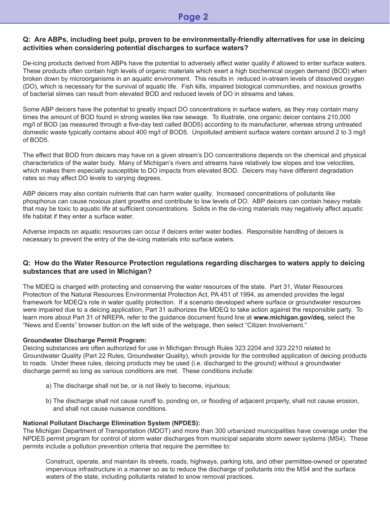#### **Q: Are ABPs, including beet pulp, proven to be environmentally-friendly alternatives for use in deicing activities when considering potential discharges to surface waters?**

De-icing products derived from ABPs have the potential to adversely affect water quality if allowed to enter surface waters. These products often contain high levels of organic materials which exert a high biochemical oxygen demand (BOD) when broken down by microorganisms in an aquatic environment. This results in reduced in-stream levels of dissolved oxygen (DO), which is necessary for the survival of aquatic life. Fish kills, impaired biological communities, and noxious growths of bacterial slimes can result from elevated BOD and reduced levels of DO in streams and lakes.

Some ABP deicers have the potential to greatly impact DO concentrations in surface waters, as they may contain many times the amount of BOD found in strong wastes like raw sewage. To illustrate, one organic deicer contains 210,000 mg/l of BOD (as measured through a five-day test called BOD5) according to its manufacturer, whereas strong untreated domestic waste typically contains about 400 mg/l of BOD5. Unpolluted ambient surface waters contain around 2 to 3 mg/l of BOD5.

The effect that BOD from deicers may have on a given stream's DO concentrations depends on the chemical and physical characteristics of the water body. Many of Michigan's rivers and streams have relatively low slopes and low velocities, which makes them especially susceptible to DO impacts from elevated BOD. Deicers may have different degradation rates so may affect DO levels to varying degrees.

ABP deicers may also contain nutrients that can harm water quality. Increased concentrations of pollutants like phosphorus can cause noxious plant growths and contribute to low levels of DO. ABP deicers can contain heavy metals that may be toxic to aquatic life at sufficient concentrations. Solids in the de-icing materials may negatively affect aquatic life habitat if they enter a surface water.

Adverse impacts on aquatic resources can occur if deicers enter water bodies. Responsible handling of deicers is necessary to prevent the entry of the de-icing materials into surface waters.

#### **Q: How do the Water Resource Protection regulations regarding discharges to waters apply to deicing substances that are used in Michigan?**

The MDEQ is charged with protecting and conserving the water resources of the state. Part 31, Water Resources Protection of the Natural Resources Environmental Protection Act, PA 451 of 1994, as amended provides the legal framework for MDEQ's role in water quality protection. If a scenario developed where surface or groundwater resources were impaired due to a deicing application, Part 31 authorizes the MDEQ to take action against the responsible party. To learn more about Part 31 of NREPA, refer to the guidance document found line at **www.michigan.gov/deq**, select the "News and Events" browser button on the left side of the webpage, then select "Citizen Involvement."

#### **Groundwater Discharge Permit Program:**

Deicing substances are often authorized for use in Michigan through Rules 323.2204 and 323.2210 related to Groundwater Quality (Part 22 Rules, Groundwater Quality), which provide for the controlled application of deicing products to roads. Under these rules, deicing products may be used (i.e. discharged to the ground) without a groundwater discharge permit so long as various conditions are met. These conditions include:

- a) The discharge shall not be, or is not likely to become, injurious;
- b) The discharge shall not cause runoff to, ponding on, or flooding of adjacent property, shall not cause erosion, and shall not cause nuisance conditions.

#### **National Pollutant Discharge Elimination System (NPDES):**

The Michigan Department of Transportation (MDOT) and more than 300 urbanized municipalities have coverage under the NPDES permit program for control of storm water discharges from municipal separate storm sewer systems (MS4). These permits include a pollution prevention criteria that require the permittee to:

Construct, operate, and maintain its streets, roads, highways, parking lots, and other permittee-owned or operated impervious infrastructure in a manner so as to reduce the discharge of pollutants into the MS4 and the surface waters of the state, including pollutants related to snow removal practices.